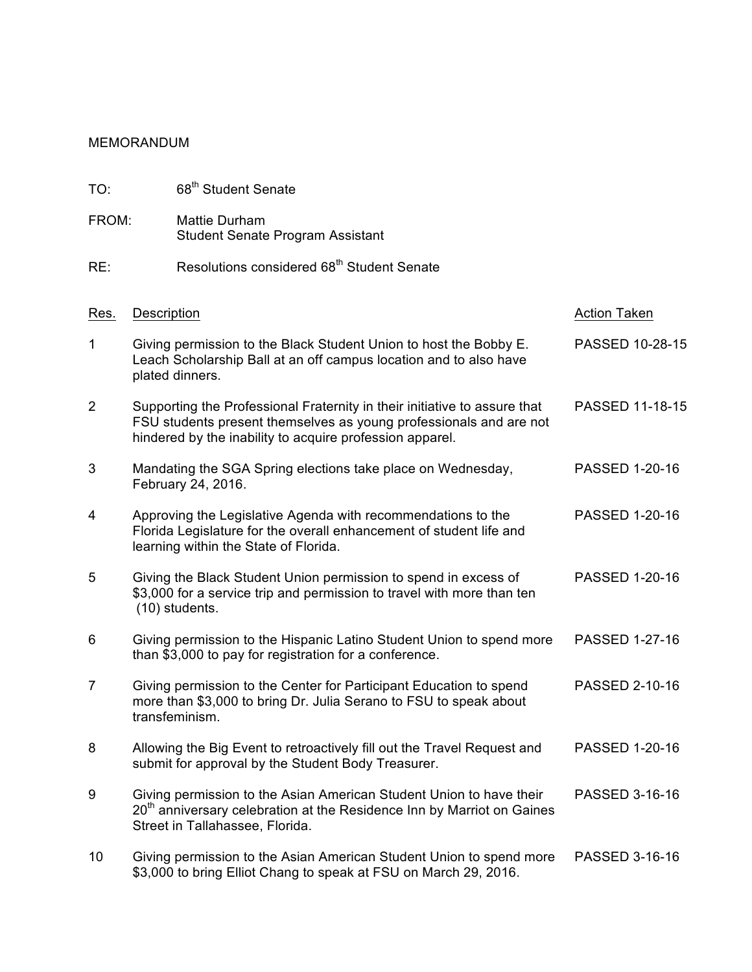## MEMORANDUM

| TO:            |                    | 68 <sup>th</sup> Student Senate                                                                                                                                                                             |                       |
|----------------|--------------------|-------------------------------------------------------------------------------------------------------------------------------------------------------------------------------------------------------------|-----------------------|
| FROM:          |                    | <b>Mattie Durham</b><br><b>Student Senate Program Assistant</b>                                                                                                                                             |                       |
| RE:            |                    | Resolutions considered 68 <sup>th</sup> Student Senate                                                                                                                                                      |                       |
| Res.           | <b>Description</b> |                                                                                                                                                                                                             | <b>Action Taken</b>   |
| 1              |                    | Giving permission to the Black Student Union to host the Bobby E.<br>Leach Scholarship Ball at an off campus location and to also have<br>plated dinners.                                                   | PASSED 10-28-15       |
| $\overline{2}$ |                    | Supporting the Professional Fraternity in their initiative to assure that<br>FSU students present themselves as young professionals and are not<br>hindered by the inability to acquire profession apparel. | PASSED 11-18-15       |
| 3              |                    | Mandating the SGA Spring elections take place on Wednesday,<br>February 24, 2016.                                                                                                                           | PASSED 1-20-16        |
| 4              |                    | Approving the Legislative Agenda with recommendations to the<br>Florida Legislature for the overall enhancement of student life and<br>learning within the State of Florida.                                | <b>PASSED 1-20-16</b> |
| 5              |                    | Giving the Black Student Union permission to spend in excess of<br>\$3,000 for a service trip and permission to travel with more than ten<br>(10) students.                                                 | <b>PASSED 1-20-16</b> |
| 6              |                    | Giving permission to the Hispanic Latino Student Union to spend more<br>than \$3,000 to pay for registration for a conference.                                                                              | PASSED 1-27-16        |
| 7              |                    | Giving permission to the Center for Participant Education to spend<br>more than \$3,000 to bring Dr. Julia Serano to FSU to speak about<br>transfeminism.                                                   | <b>PASSED 2-10-16</b> |
| 8              |                    | Allowing the Big Event to retroactively fill out the Travel Request and<br>submit for approval by the Student Body Treasurer.                                                                               | PASSED 1-20-16        |
| 9              |                    | Giving permission to the Asian American Student Union to have their<br>20 <sup>th</sup> anniversary celebration at the Residence Inn by Marriot on Gaines<br>Street in Tallahassee, Florida.                | PASSED 3-16-16        |
| 10             |                    | Giving permission to the Asian American Student Union to spend more<br>\$3,000 to bring Elliot Chang to speak at FSU on March 29, 2016.                                                                     | PASSED 3-16-16        |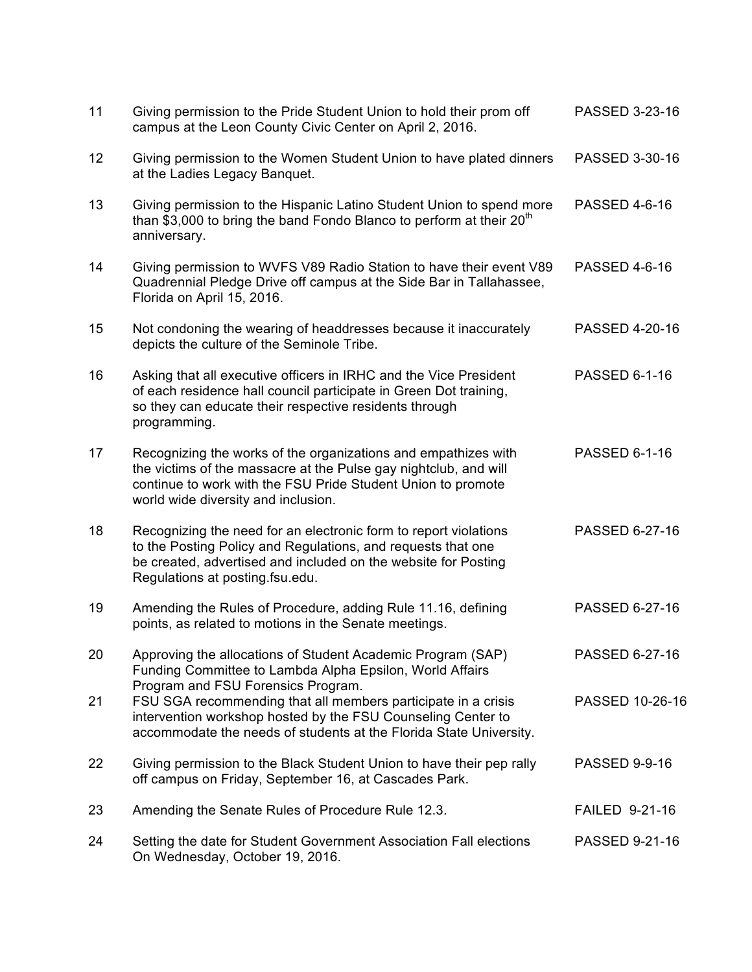| 11 | Giving permission to the Pride Student Union to hold their prom off<br>campus at the Leon County Civic Center on April 2, 2016.                                                                                                           | PASSED 3-23-16        |
|----|-------------------------------------------------------------------------------------------------------------------------------------------------------------------------------------------------------------------------------------------|-----------------------|
| 12 | Giving permission to the Women Student Union to have plated dinners<br>at the Ladies Legacy Banquet.                                                                                                                                      | PASSED 3-30-16        |
| 13 | Giving permission to the Hispanic Latino Student Union to spend more<br>than \$3,000 to bring the band Fondo Blanco to perform at their $20th$<br>anniversary.                                                                            | <b>PASSED 4-6-16</b>  |
| 14 | Giving permission to WVFS V89 Radio Station to have their event V89<br>Quadrennial Pledge Drive off campus at the Side Bar in Tallahassee,<br>Florida on April 15, 2016.                                                                  | <b>PASSED 4-6-16</b>  |
| 15 | Not condoning the wearing of headdresses because it inaccurately<br>depicts the culture of the Seminole Tribe.                                                                                                                            | <b>PASSED 4-20-16</b> |
| 16 | Asking that all executive officers in IRHC and the Vice President<br>of each residence hall council participate in Green Dot training,<br>so they can educate their respective residents through<br>programming.                          | <b>PASSED 6-1-16</b>  |
| 17 | Recognizing the works of the organizations and empathizes with<br>the victims of the massacre at the Pulse gay nightclub, and will<br>continue to work with the FSU Pride Student Union to promote<br>world wide diversity and inclusion. | <b>PASSED 6-1-16</b>  |
| 18 | Recognizing the need for an electronic form to report violations<br>to the Posting Policy and Regulations, and requests that one<br>be created, advertised and included on the website for Posting<br>Regulations at posting.fsu.edu.     | PASSED 6-27-16        |
| 19 | Amending the Rules of Procedure, adding Rule 11.16, defining<br>points, as related to motions in the Senate meetings.                                                                                                                     | PASSED 6-27-16        |
| 20 | Approving the allocations of Student Academic Program (SAP)<br>Funding Committee to Lambda Alpha Epsilon, World Affairs<br>Program and FSU Forensics Program.                                                                             | PASSED 6-27-16        |
| 21 | FSU SGA recommending that all members participate in a crisis<br>intervention workshop hosted by the FSU Counseling Center to<br>accommodate the needs of students at the Florida State University.                                       | PASSED 10-26-16       |
| 22 | Giving permission to the Black Student Union to have their pep rally<br>off campus on Friday, September 16, at Cascades Park.                                                                                                             | <b>PASSED 9-9-16</b>  |
| 23 | Amending the Senate Rules of Procedure Rule 12.3.                                                                                                                                                                                         | <b>FAILED 9-21-16</b> |
| 24 | Setting the date for Student Government Association Fall elections<br>On Wednesday, October 19, 2016.                                                                                                                                     | PASSED 9-21-16        |